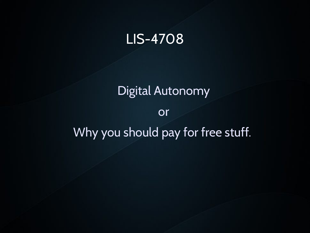### LIS-4708

### Digital Autonomy

#### or

### Why you should pay for free stuff.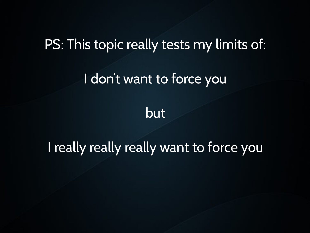### PS: This topic really tests my limits of:

### I don't want to force you

but

### I really really really want to force you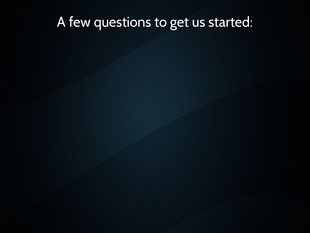### A few questions to get us started: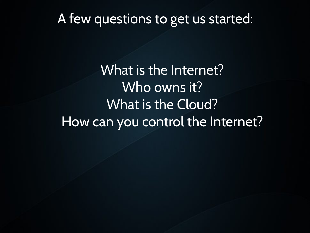### A few questions to get us started:

What is the Internet? Who owns it? What is the Cloud? How can you control the Internet?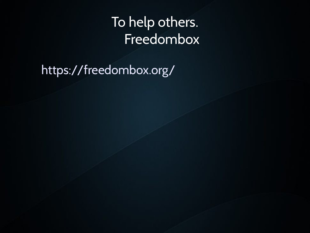### To help others. Freedombox

https://freedombox.org/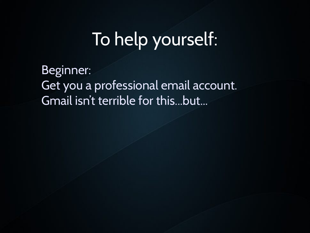# To help yourself:

Beginner: Get you a professional email account. Gmail isn't terrible for this...but...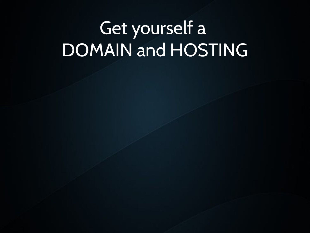# Get yourself a DOMAIN and HOSTING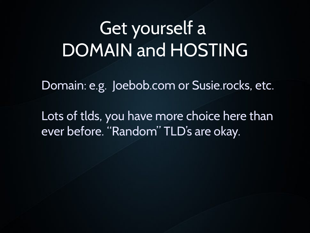# Get yourself a DOMAIN and HOSTING

Domain: e.g. Joebob.com or Susie.rocks, etc.

Lots of tlds, you have more choice here than ever before. "Random" TLD's are okay.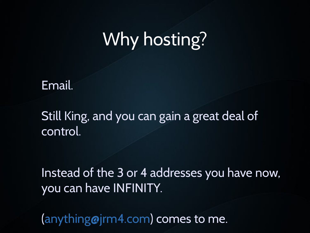## Why hosting?

Email.

Still King, and you can gain a great deal of control.

Instead of the 3 or 4 addresses you have now, you can have INFINITY.

[\(anything@jrm4.com](mailto:anything@jrm4.com)) comes to me.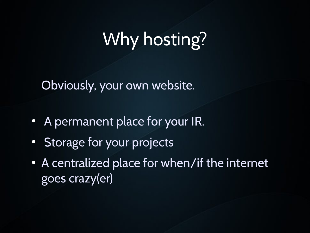# Why hosting?

Obviously, your own website.

- A permanent place for your IR.
- Storage for your projects
- A centralized place for when/if the internet goes crazy(er)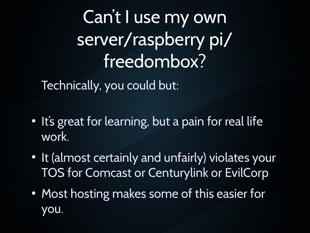Can't I use my own server/raspberry pi/ freedombox?

Technically, you could but:

- . It's great for learning, but a pain for real life work.
- It (almost certainly and unfairly) violates your TOS for Comcast or Centurylink or EvilCorp
- Most hosting makes some of this easier for you.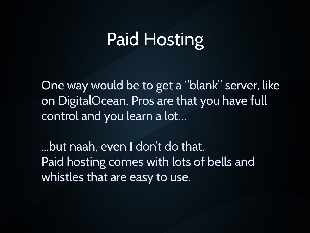One way would be to get a "blank" server, like on DigitalOcean. Pros are that you have full control and you learn a lot…

...but naah, even **I** don't do that. Paid hosting comes with lots of bells and whistles that are easy to use.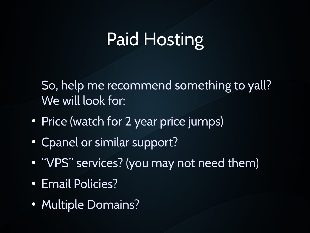So, help me recommend something to yall? We will look for:

- Price (watch for 2 year price jumps)
- Cpanel or similar support?
- "VPS" services? (you may not need them)
- Email Policies?
- Multiple Domains?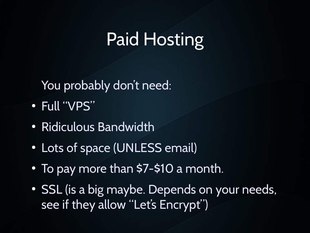You probably don't need:

- Full "VPS"
- Ridiculous Bandwidth
- Lots of space (UNLESS email)
- $\bullet$  To pay more than \$7-\$10 a month.
- SSL (is a big maybe. Depends on your needs, see if they allow "Let's Encrypt")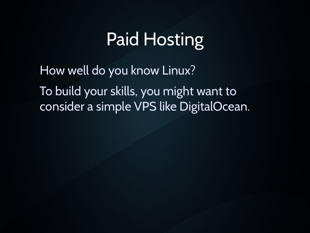How well do you know Linux? To build your skills, you might want to consider a simple VPS like DigitalOcean.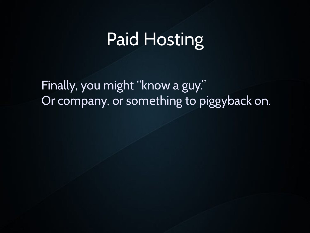Finally, you might "know a guy." Or company, or something to piggyback on.